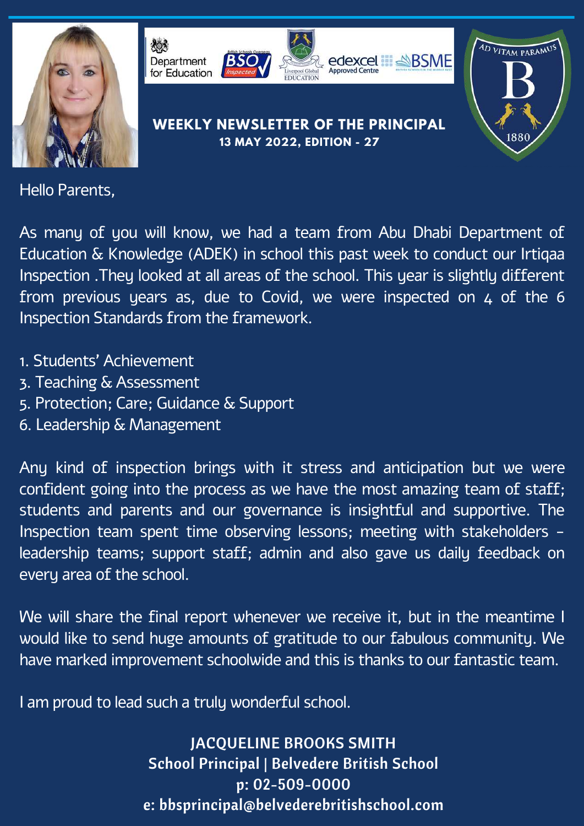



AD VITAM PARAMU

1880

## **WEEKLY NEWSLETTER OF THE PRINCIPAL 13 MAY 2022, EDITION - 27**

Hello Parents,

As many of you will know, we had a team from Abu Dhabi Department of Education & Knowledge (ADEK) in school this past week to conduct our Irtiqaa Inspection .They looked at all areas of the school. This year is slightly different from previous years as, due to Covid, we were inspected on  $4$  of the 6 Inspection Standards from the framework.

- 1. Students' Achievement
- 3. Teaching & Assessment
- 5. Protection; Care; Guidance & Support
- 6. Leadership & Management

Any kind of inspection brings with it stress and anticipation but we were confident going into the process as we have the most amazing team of staff; students and parents and our governance is insightful and supportive. The Inspection team spent time observing lessons; meeting with stakeholders leadership teams; support staff; admin and also gave us daily feedback on every area of the school.

We will share the final report whenever we receive it, but in the meantime I would like to send huge amounts of gratitude to our fabulous community. We have marked improvement schoolwide and this is thanks to our fantastic team.

I am proud to lead such a truly wonderful school.

JACQUELINE BROOKS SMITH School Principal | Belvedere British School p: 02-509-0000 e: bbsprincipal@belvederebritishschool.com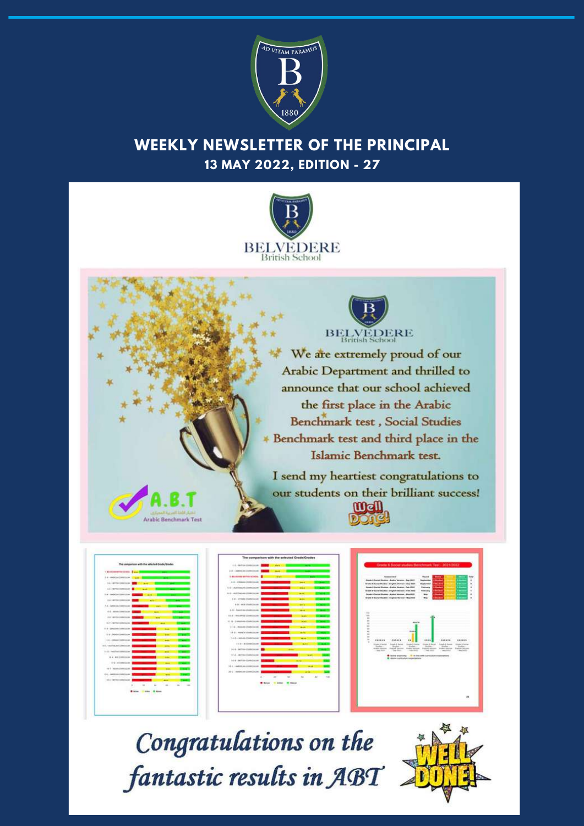

## **WEEKLY NEWSLETTER OF THE PRINCIPAL 13 MAY 2022, EDITION - 27**





| A de condentrado francés como<br><b>Wind</b><br>A.L. Miller collection<br>A.L. MITSUITE<br>÷<br>1 m - cashelled<br>4.6 (40)<br>×<br>A.A. clarified<br>۰<br>4-5 14094<br>٠<br>٠<br>4.4 percentage<br>۰<br><b>COLLECTION</b><br><br>٠<br>(1.9 - Elevatinda Con<br>$\sim$<br>194,100000<br>×<br>--<br>ı.<br>14-6 - Delegations<br>۰<br><br>ALL ANTIALINE CAMERA<br>$\overline{\phantom{a}}$<br>14-5 - Faculture managers<br>- 16<br>٠<br>m<br>14 a will construct<br>┅<br>The Latitude Corp.<br><b>Harry</b><br>THE R. P. LEWIS CO., LANSING MICH.<br>844 | I distant entertainment of a set<br>oτ |  |  |     |
|--------------------------------------------------------------------------------------------------------------------------------------------------------------------------------------------------------------------------------------------------------------------------------------------------------------------------------------------------------------------------------------------------------------------------------------------------------------------------------------------------------------------------------------------------------|----------------------------------------|--|--|-----|
|                                                                                                                                                                                                                                                                                                                                                                                                                                                                                                                                                        |                                        |  |  |     |
|                                                                                                                                                                                                                                                                                                                                                                                                                                                                                                                                                        |                                        |  |  |     |
|                                                                                                                                                                                                                                                                                                                                                                                                                                                                                                                                                        |                                        |  |  |     |
|                                                                                                                                                                                                                                                                                                                                                                                                                                                                                                                                                        |                                        |  |  |     |
|                                                                                                                                                                                                                                                                                                                                                                                                                                                                                                                                                        |                                        |  |  |     |
|                                                                                                                                                                                                                                                                                                                                                                                                                                                                                                                                                        |                                        |  |  |     |
|                                                                                                                                                                                                                                                                                                                                                                                                                                                                                                                                                        |                                        |  |  |     |
|                                                                                                                                                                                                                                                                                                                                                                                                                                                                                                                                                        |                                        |  |  |     |
|                                                                                                                                                                                                                                                                                                                                                                                                                                                                                                                                                        |                                        |  |  |     |
|                                                                                                                                                                                                                                                                                                                                                                                                                                                                                                                                                        |                                        |  |  |     |
|                                                                                                                                                                                                                                                                                                                                                                                                                                                                                                                                                        |                                        |  |  |     |
|                                                                                                                                                                                                                                                                                                                                                                                                                                                                                                                                                        |                                        |  |  |     |
|                                                                                                                                                                                                                                                                                                                                                                                                                                                                                                                                                        |                                        |  |  |     |
|                                                                                                                                                                                                                                                                                                                                                                                                                                                                                                                                                        |                                        |  |  |     |
|                                                                                                                                                                                                                                                                                                                                                                                                                                                                                                                                                        |                                        |  |  |     |
|                                                                                                                                                                                                                                                                                                                                                                                                                                                                                                                                                        |                                        |  |  |     |
|                                                                                                                                                                                                                                                                                                                                                                                                                                                                                                                                                        |                                        |  |  |     |
| EX L - MARIEVINE                                                                                                                                                                                                                                                                                                                                                                                                                                                                                                                                       |                                        |  |  |     |
| -59<br><b>CALL MATERIAL</b>                                                                                                                                                                                                                                                                                                                                                                                                                                                                                                                            |                                        |  |  |     |
| .<br>$\overline{a}$<br>. .<br>CHAIN CO                                                                                                                                                                                                                                                                                                                                                                                                                                                                                                                 |                                        |  |  | $-$ |





## Congratulations on the fantastic results in ABT